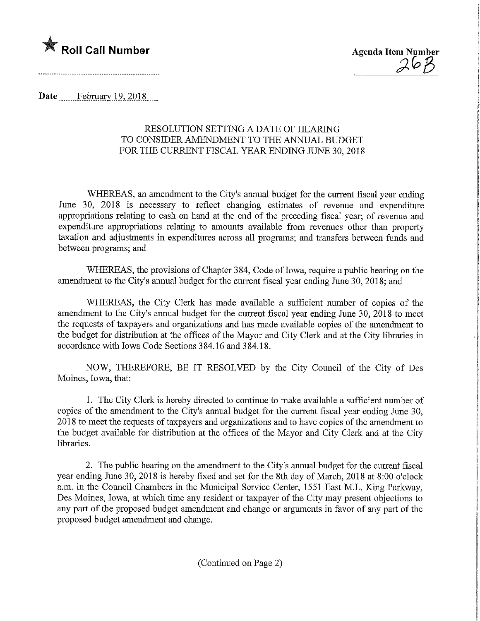Roll Call Number Agenda Item Number  $\mathcal{A}\Theta\mathcal{B}$ 

Date February 19, 2018

## RESOLUTION SETTING A DATE OF HEARING TO CONSIDER AMENDMENT TO THE ANNUAL BUDGET FOR THE CURRENT FISCAL YEAR ENDING JUNE 30, 2018

WHEREAS, an amendment to the City's annual budget for the current fiscal year ending June 30, 2018 is necessary to reflect changing estimates of revenue and expenditure appropriations relating to cash on hand at the end of the preceding fiscal year; of revenue and expenditure appropriations relating to amounts available from revenues other than property taxation and adjustments in expenditures across all programs; and transfers between funds and between programs; and

WHEREAS, the provisions of Chapter 384, Code of Iowa, require a public hearing on the amendment to the City's annual budget for the current fiscal year ending June 30, 2018; and

WHEREAS, the City Clerk has made available a sufficient number of copies of the amendment to the City's annual budget for the current fiscal year ending June 30, 2018 to meet the requests of taxpayers and organizations and has made available copies of the amendment to the budget for distribution at the offices of the Mayor and City Clerk and at the City libraries in accordance with Iowa Code Sections 384.16 and 384.18.

NOW, THEREFORE, BE IT RESOLVED by the City Council of the City of Des Moines, Iowa, that:

1. The City Clerk is hereby directed to continue to make available a sufficient number of copies of the amendment to the City's annual budget for the current fiscal year ending June 30, 2018 to meet the requests of taxpayers and organizations and to have copies of the amendment to the budget available for distribution at the offices of the Mayor and City Clerk and at the City libraries.

2. The public hearing on the amendment to the City's annual budget for the current fiscal year ending June 30, 2018 is hereby fixed and set for the 8th day of March, 2018 at 8:00 o'clock a.m. in the Council Chambers in the Municipal Service Center, 1551 East M.L. King Parkway, Des Moines, Iowa, at which time any resident or taxpayer of the City may present objections to any part of the proposed budget amendment and change or arguments in favor of any part of the proposed budget amendment and change.